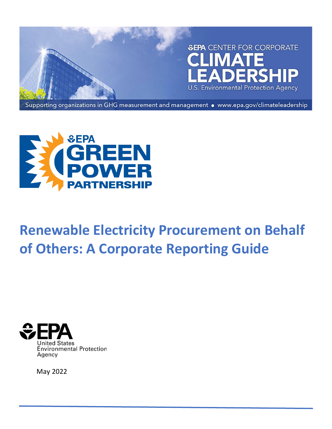



# **Renewable Electricity Procurement on Behalf of Others: A Corporate Reporting Guide**



May 2022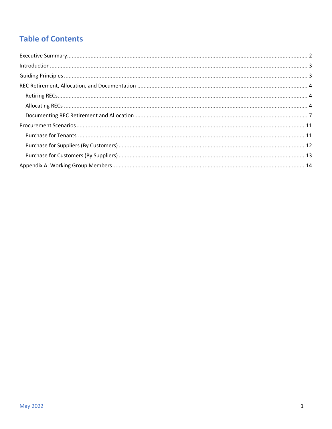# **Table of Contents**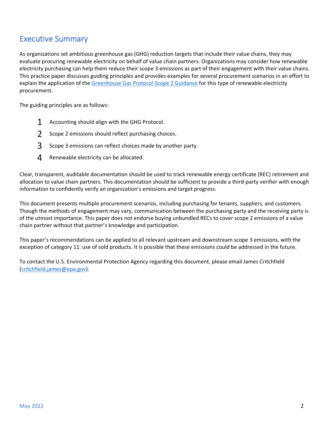# <span id="page-2-0"></span>Executive Summary

As organizations set ambitious greenhouse gas (GHG) reduction targets that include their value chains, they may evaluate procuring renewable electricity on behalf of value chain partners. Organizations may consider how renewable electricity purchasing can help them reduce their scope 3 emissions as part of their engagement with their value chains. This practice paper discusses guiding principles and provides examples for several procurement scenarios in an effort to explain the application of the [Greenhouse Gas Protocol Scope 2 Guidance](https://ghgprotocol.org/scope_2_guidance) for this type of renewable electricity procurement.

The guiding principles are as follows:

- 1 Accounting should align with the GHG Protocol.
- 2 Scope 2 emissions should reflect purchasing choices.
- 3 Scope 3 emissions can reflect choices made by another party.
- 4 Renewable electricity can be allocated.

Clear, transparent, auditable documentation should be used to track renewable energy certificate (REC) retirement and allocation to value chain partners. This documentation should be sufficient to provide a third-party verifier with enough information to confidently verify an organization's emissions and target progress.

This document presents multiple procurement scenarios, including purchasing for tenants, suppliers, and customers. Though the methods of engagement may vary, communication between the purchasing party and the receiving party is of the utmost importance. This paper does not endorse buying unbundled RECs to cover scope 2 emissions of a value chain partner without that partner's knowledge and participation.

This paper's recommendations can be applied to all relevant upstream and downstream scope 3 emissions, with the exception of category 11: use of sold products. It is possible that these emissions could be addressed in the future.

To contact the U.S. Environmental Protection Agency regarding this document, please email James Critchfield [\(critchfield.james@epa.gov\)](mailto:critchfield.james@epa.gov).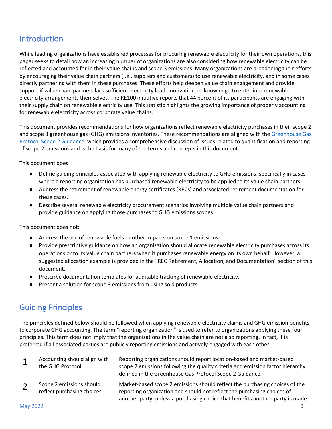# <span id="page-3-0"></span>Introduction

While leading organizations have established processes for procuring renewable electricity for their own operations, this paper seeks to detail how an increasing number of organizations are also considering how renewable electricity can be reflected and accounted for in their value chains and scope 3 emissions. Many organizations are broadening their efforts by encouraging their value chain partners (i.e., suppliers and customers) to use renewable electricity, and in some cases directly partnering with them in these purchases. These efforts help deepen value chain engagement and provide support if value chain partners lack sufficient electricity load, motivation, or knowledge to enter into renewable electricity arrangements themselves. The RE100 initiative reports that 44 percent of its participants are engaging with their supply chain on renewable electricity use. This statistic highlights the growing importance of properly accounting for renewable electricity across corporate value chains.

This document provides recommendations for how organizations reflect renewable electricity purchases in their scope 2 and scope 3 greenhouse gas (GHG) emissions inventories. These recommendations are aligned with the Greenhouse Gas [Protocol Scope 2 Guidance,](https://ghgprotocol.org/scope_2_guidance) which provides a comprehensive discussion of issues related to quantification and reporting of scope 2 emissions and is the basis for many of the terms and concepts in this document.

This document does:

- Define guiding principles associated with applying renewable electricity to GHG emissions, specifically in cases where a reporting organization has purchased renewable electricity to be applied to its value chain partners.
- Address the retirement of renewable energy certificates (RECs) and associated retirement documentation for these cases.
- Describe several renewable electricity procurement scenarios involving multiple value chain partners and provide guidance on applying those purchases to GHG emissions scopes.

This document does not:

- Address the use of renewable fuels or other impacts on scope 1 emissions.
- Provide prescriptive guidance on how an organization should allocate renewable electricity purchases across its operations or to its value chain partners when it purchases renewable energy on its own behalf. However, a suggested allocation example is provided in the "REC Retirement, Allocation, and Documentation" section of this document.
- Prescribe documentation templates for auditable tracking of renewable electricity.
- Present a solution for scope 3 emissions from using sold products.

# <span id="page-3-1"></span>Guiding Principles

The principles defined below should be followed when applying renewable electricity claims and GHG emission benefits to corporate GHG accounting. The term "reporting organization" is used to refer to organizations applying these four principles. This term does not imply that the organizations in the value chain are not also reporting. In fact, it is preferred if all associated parties are publicly reporting emissions and actively engaged with each other.

| $\mathbf{1}$ | Accounting should align with<br>the GHG Protocol.       | Reporting organizations should report location-based and market-based<br>scope 2 emissions following the quality criteria and emission factor hierarchy<br>defined in the Greenhouse Gas Protocol Scope 2 Guidance.                     |
|--------------|---------------------------------------------------------|-----------------------------------------------------------------------------------------------------------------------------------------------------------------------------------------------------------------------------------------|
|              | Scope 2 emissions should<br>reflect purchasing choices. | Market-based scope 2 emissions should reflect the purchasing choices of the<br>reporting organization and should not reflect the purchasing choices of<br>another party, unless a purchasing choice that benefits another party is made |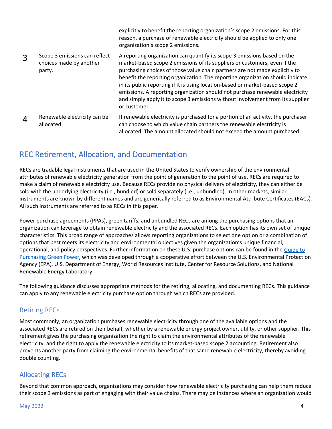explicitly to benefit the reporting organization's scope 2 emissions. For this reason, a purchase of renewable electricity should be applied to only one organization's scope 2 emissions.

- 3 Scope 3 emissions can reflect choices made by another party. A reporting organization can quantify its scope 3 emissions based on the market-based scope 2 emissions of its suppliers or customers, even if the purchasing choices of those value chain partners are not made explicitly to benefit the reporting organization. The reporting organization should indicate in its public reporting if it is using location-based or market-based scope 2 emissions. A reporting organization should not purchase renewable electricity and simply apply it to scope 3 emissions without involvement from its supplier or customer.
- 4 Renewable electricity can be allocated. If renewable electricity is purchased for a portion of an activity, the purchaser can choose to which value chain partners the renewable electricity is allocated. The amount allocated should not exceed the amount purchased.

# <span id="page-4-0"></span>REC Retirement, Allocation, and Documentation

RECs are tradable legal instruments that are used in the United States to verify ownership of the environmental attributes of renewable electricity generation from the point of generation to the point of use. RECs are required to make a claim of renewable electricity use. Because RECs provide no physical delivery of electricity, they can either be sold with the underlying electricity (i.e., bundled) or sold separately (i.e., unbundled). In other markets, similar instruments are known by different names and are generically referred to as Environmental Attribute Certificates (EACs). All such instruments are referred to as RECs in this paper.

Power purchase agreements (PPAs), green tariffs, and unbundled RECs are among the purchasing options that an organization can leverage to obtain renewable electricity and the associated RECs. Each option has its own set of unique characteristics. This broad range of approaches allows reporting organizations to select one option or a combination of options that best meets its electricity and environmental objectives given the organization's unique financial, operational, and policy perspectives. Further information on these U.S. purchase options can be found in the [Guide to](https://www.epa.gov/greenpower/guide-purchasing-green-power)  [Purchasing Green Power,](https://www.epa.gov/greenpower/guide-purchasing-green-power) which was developed through a cooperative effort between the U.S. Environmental Protection Agency (EPA), U.S. Department of Energy, World Resources Institute, Center for Resource Solutions, and National Renewable Energy Laboratory.

The following guidance discusses appropriate methods for the retiring, allocating, and documenting RECs. This guidance can apply to any renewable electricity purchase option through which RECs are provided.

## <span id="page-4-1"></span>Retiring RECs

Most commonly, an organization purchases renewable electricity through one of the available options and the associated RECs are retired on their behalf, whether by a renewable energy project owner, utility, or other supplier. This retirement gives the purchasing organization the right to claim the environmental attributes of the renewable electricity, and the right to apply the renewable electricity to its market-based scope 2 accounting. Retirement also prevents another party from claiming the environmental benefits of that same renewable electricity, thereby avoiding double counting.

## <span id="page-4-2"></span>Allocating RECs

Beyond that common approach, organizations may consider how renewable electricity purchasing can help them reduce their scope 3 emissions as part of engaging with their value chains. There may be instances where an organization would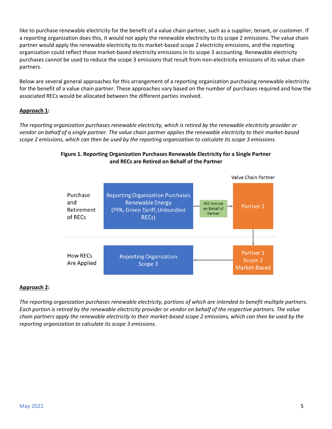like to purchase renewable electricity for the benefit of a value chain partner, such as a supplier, tenant, or customer. If a reporting organization does this, it would not apply the renewable electricity to its scope 2 emissions. The value chain partner would apply the renewable electricity to its market-based scope 2 electricity emissions, and the reporting organization could reflect those market-based electricity emissions in its scope 3 accounting. Renewable electricity purchases cannot be used to reduce the scope 3 emissions that result from non-electricity emissions of its value chain partners.

Below are several general approaches for this arrangement of a reporting organization purchasing renewable electricity for the benefit of a value chain partner. These approaches vary based on the number of purchases required and how the associated RECs would be allocated between the different parties involved.

#### **Approach 1:**

*The reporting organization purchases renewable electricity, which is retired by the renewable electricity provider or vendor on behalf of a single partner. The value chain partner applies the renewable electricity to their market-based scope 2 emissions, which can then be used by the reporting organization to calculate its scope 3 emissions.*



#### **Figure 1. Reporting Organization Purchases Renewable Electricity for a Single Partner and RECs are Retired on Behalf of the Partner**

#### **Approach 2:**

*The reporting organization purchases renewable electricity, portions of which are intended to benefit multiple partners. Each portion is retired by the renewable electricity provider or vendor on behalf of the respective partners. The value chain partners apply the renewable electricity to their market-based scope 2 emissions, which can then be used by the reporting organization to calculate its scope 3 emissions.*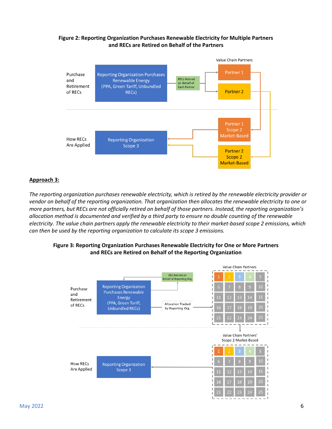#### **Figure 2: Reporting Organization Purchases Renewable Electricity for Multiple Partners and RECs are Retired on Behalf of the Partners**



#### **Approach 3:**

*The reporting organization purchases renewable electricity, which is retired by the renewable electricity provider or vendor on behalf of the reporting organization. That organization then allocates the renewable electricity to one or more partners, but RECs are not officially retired on behalf of those partners. Instead, the reporting organization's allocation method is documented and verified by a third party to ensure no double counting of the renewable electricity. The value chain partners apply the renewable electricity to their market-based scope 2 emissions, which can then be used by the reporting organization to calculate its scope 3 emissions.*

#### **Figure 3: Reporting Organization Purchases Renewable Electricity for One or More Partners and RECs are Retired on Behalf of the Reporting Organization**

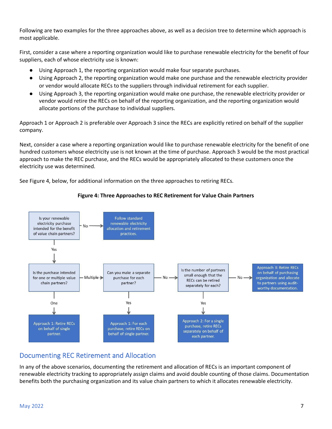Following are two examples for the three approaches above, as well as a decision tree to determine which approach is most applicable.

First, consider a case where a reporting organization would like to purchase renewable electricity for the benefit of four suppliers, each of whose electricity use is known:

- Using Approach 1, the reporting organization would make four separate purchases.
- Using Approach 2, the reporting organization would make one purchase and the renewable electricity provider or vendor would allocate RECs to the suppliers through individual retirement for each supplier.
- Using Approach 3, the reporting organization would make one purchase, the renewable electricity provider or vendor would retire the RECs on behalf of the reporting organization, and the reporting organization would allocate portions of the purchase to individual suppliers.

Approach 1 or Approach 2 is preferable over Approach 3 since the RECs are explicitly retired on behalf of the supplier company.

Next, consider a case where a reporting organization would like to purchase renewable electricity for the benefit of one hundred customers whose electricity use is not known at the time of purchase. Approach 3 would be the most practical approach to make the REC purchase, and the RECs would be appropriately allocated to these customers once the electricity use was determined.

See Figure 4, below, for additional information on the three approaches to retiring RECs.



#### **Figure 4: Three Approaches to REC Retirement for Value Chain Partners**

## <span id="page-7-0"></span>Documenting REC Retirement and Allocation

In any of the above scenarios, documenting the retirement and allocation of RECs is an important component of renewable electricity tracking to appropriately assign claims and avoid double counting of those claims. Documentation benefits both the purchasing organization and its value chain partners to which it allocates renewable electricity.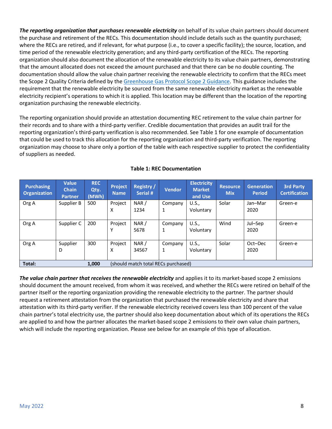**The reporting organization that purchases renewable electricity** on behalf of its value chain partners should document the purchase and retirement of the RECs. This documentation should include details such as the quantity purchased; where the RECs are retired, and if relevant, for what purpose (i.e., to cover a specific facility); the source, location, and time period of the renewable electricity generation; and any third-party certification of the RECs. The reporting organization should also document the allocation of the renewable electricity to its value chain partners, demonstrating that the amount allocated does not exceed the amount purchased and that there can be no double counting. The documentation should allow the value chain partner receiving the renewable electricity to confirm that the RECs meet the Scope 2 Quality Criteria defined by the [Greenhouse Gas Protocol Scope 2 Guidance.](https://ghgprotocol.org/scope_2_guidance) This guidance includes the requirement that the renewable electricity be sourced from the same renewable electricity market as the renewable electricity recipient's operations to which it is applied. This location may be different than the location of the reporting organization purchasing the renewable electricity.

The reporting organization should provide an attestation documenting REC retirement to the value chain partner for their records and to share with a third-party verifier. Credible documentation that provides an audit trail for the reporting organization's third-party verification is also recommended. See Table 1 for one example of documentation that could be used to track this allocation for the reporting organization and third-party verification. The reporting organization may choose to share only a portion of the table with each respective supplier to protect the confidentiality of suppliers as needed.

| <b>Purchasing</b><br><b>Organization</b> | <b>Value</b><br><b>Chain</b><br><b>Partner</b> | <b>REC</b><br>Qty.<br>(MWh) | Project<br><b>Name</b> | <b>Registry /</b><br>Serial #       | <b>Vendor</b> | <b>Electricity</b><br><b>Market</b><br>and Use | <b>Resource</b><br><b>Mix</b> | <b>Generation</b><br><b>Period</b> | <b>3rd Party</b><br><b>Certification</b> |
|------------------------------------------|------------------------------------------------|-----------------------------|------------------------|-------------------------------------|---------------|------------------------------------------------|-------------------------------|------------------------------------|------------------------------------------|
| Org A                                    | Supplier B                                     | 500                         | Project<br>x           | NAR/<br>1234                        | Company<br>1  | U.S.,<br>Voluntary                             | Solar                         | Jan-Mar<br>2020                    | Green-e                                  |
| Org A                                    | Supplier C                                     | 200                         | Project                | NAR/<br>5678                        | Company<br>1  | U.S.,<br>Voluntary                             | Wind                          | Jul-Sep<br>2020                    | Green-e                                  |
| Org A                                    | Supplier<br>D                                  | 300                         | Project<br>x           | NAR/<br>34567                       | Company<br>1  | U.S.,<br>Voluntary                             | Solar                         | Oct-Dec<br>2020                    | Green-e                                  |
| Total:                                   |                                                | 1,000                       |                        | (should match total RECs purchased) |               |                                                |                               |                                    |                                          |

#### **Table 1: REC Documentation**

*The value chain partner that receives the renewable electricity* and applies it to its market-based scope 2 emissions should document the amount received, from whom it was received, and whether the RECs were retired on behalf of the partner itself or the reporting organization providing the renewable electricity to the partner. The partner should request a retirement attestation from the organization that purchased the renewable electricity and share that attestation with its third-party verifier. If the renewable electricity received covers less than 100 percent of the value chain partner's total electricity use, the partner should also keep documentation about which of its operations the RECs are applied to and how the partner allocates the market-based scope 2 emissions to their own value chain partners, which will include the reporting organization. Please see below for an example of this type of allocation.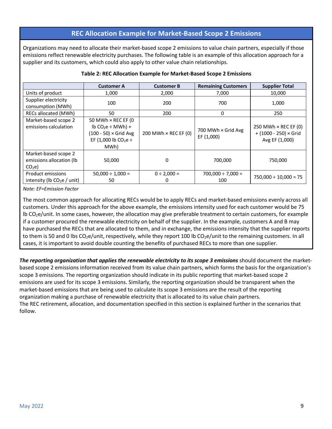#### **REC Allocation Example for Market-Based Scope 2 Emissions**

Organizations may need to allocate their market-based scope 2 emissions to value chain partners, especially if those emissions reflect renewable electricity purchases. The following table is an example of this allocation approach for a supplier and its customers, which could also apply to other value chain relationships.

|                                                                       | <b>Customer A</b>                                                                                                        | <b>Customer B</b>           | <b>Remaining Customers</b>       | <b>Supplier Total</b>                                                         |
|-----------------------------------------------------------------------|--------------------------------------------------------------------------------------------------------------------------|-----------------------------|----------------------------------|-------------------------------------------------------------------------------|
| Units of product                                                      | 1,000                                                                                                                    | 2,000                       | 7,000                            | 10,000                                                                        |
| Supplier electricity                                                  | 100                                                                                                                      | 200                         | 700                              | 1,000                                                                         |
| consumption (MWh)                                                     |                                                                                                                          |                             |                                  |                                                                               |
| RECs allocated (MWh)                                                  | 50                                                                                                                       | 200                         | 0                                | 250                                                                           |
| Market-based scope 2<br>emissions calculation                         | 50 MWh $\times$ REC EF (0<br>$lb CO2e \div MWh$ ) +<br>(100 - 50) × Grid Avg<br>EF (1,000 lb CO <sub>2</sub> e ÷<br>MWh) | 200 MWh $\times$ REC EF (0) | 700 MWh × Grid Avg<br>EF (1,000) | 250 MWh $\times$ REC EF (0)<br>$+ (1000 - 250) \times$ Grid<br>Avg EF (1,000) |
| Market-based scope 2<br>emissions allocation (lb<br>CO <sub>2</sub> e | 50,000                                                                                                                   | 0                           | 700,000                          | 750,000                                                                       |
| Product emissions<br>intensity (lb $CO2e$ / unit)                     | $50,000 \div 1,000 =$<br>50                                                                                              | $0 \div 2,000 =$<br>0       | $700,000 \div 7,000 =$<br>100    | $750,000 \div 10,000 = 75$                                                    |

#### **Table 2: REC Allocation Example for Market-Based Scope 2 Emissions**

*Note: EF=Emission Factor*

The most common approach for allocating RECs would be to apply RECs and market-based emissions evenly across all customers. Under this approach for the above example, the emissions intensity used for each customer would be 75 lb CO2e/unit. In some cases, however, the allocation may give preferable treatment to certain customers, for example if a customer procured the renewable electricity on behalf of the supplier. In the example, customers A and B may have purchased the RECs that are allocated to them, and in exchange, the emissions intensity that the supplier reports to them is 50 and 0 lbs  $CO_2e$ /unit, respectively, while they report 100 lb  $CO_2e$ /unit to the remaining customers. In all cases, it is important to avoid double counting the benefits of purchased RECs to more than one supplier.

*The reporting organization that applies the renewable electricity to its scope 3 emissions* should document the marketbased scope 2 emissions information received from its value chain partners, which forms the basis for the organization's scope 3 emissions. The reporting organization should indicate in its public reporting that market-based scope 2 emissions are used for its scope 3 emissions. Similarly, the reporting organization should be transparent when the market-based emissions that are being used to calculate its scope 3 emissions are the result of the reporting organization making a purchase of renewable electricity that is allocated to its value chain partners. The REC retirement, allocation, and documentation specified in this section is explained further in the scenarios that follow.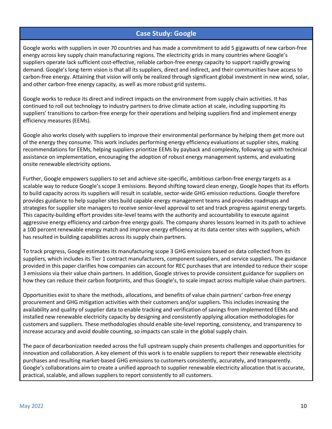#### **Case Study: Google**

Google works with suppliers in over 70 countries and has made a commitment to add 5 gigawatts of new carbon-free energy across key supply chain manufacturing regions. The electricity grids in many countries where Google's suppliers operate lack sufficient cost-effective, reliable carbon-free energy capacity to support rapidly growing demand. Google's long-term vision is that all its suppliers, direct and indirect, and their communities have access to carbon-free energy. Attaining that vision will only be realized through significant global investment in new wind, solar, and other carbon-free energy capacity, as well as more robust grid systems.

Google works to reduce its direct and indirect impacts on the environment from supply chain activities. It has continued to roll out technology to industry partners to drive climate action at scale, including supporting its suppliers' transitions to carbon-free energy for their operations and helping suppliers find and implement energy efficiency measures (EEMs).

Google also works closely with suppliers to improve their environmental performance by helping them get more out of the energy they consume. This work includes performing energy efficiency evaluations at supplier sites, making recommendations for EEMs, helping suppliers prioritize EEMs by payback and complexity, following up with technical assistance on implementation, encouraging the adoption of robust energy management systems, and evaluating onsite renewable electricity options.

Further, Google empowers suppliers to set and achieve site-specific, ambitious carbon-free energy targets as a scalable way to reduce Google's scope 3 emissions. Beyond shifting toward clean energy, Google hopes that its efforts to build capacity across its suppliers will result in scalable, sector-wide GHG emission reductions. Google therefore provides guidance to help supplier sites build capable energy management teams and provides roadmaps and strategies for supplier site managers to receive senior-level approval to set and track progress against energy targets. This capacity-building effort provides site-level teams with the authority and accountability to execute against aggressive energy efficiency and carbon-free energy goals. The company shares lessons learned in its path to achieve a 100 percent renewable energy match and improve energy efficiency at its data center sites with suppliers, which has resulted in building capabilities across its supply chain partners.

To track progress, Google estimates its manufacturing scope 3 GHG emissions based on data collected from its suppliers, which includes its Tier 1 contract manufacturers, component suppliers, and service suppliers. The guidance provided in this paper clarifies how companies can account for REC purchases that are intended to reduce their scope 3 emissions via their value chain partners. In addition, Google strives to provide consistent guidance for suppliers on how they can reduce their carbon footprints, and thus Google's, to scale impact across multiple value chain partners.

Opportunities exist to share the methods, allocations, and benefits of value chain partners' carbon-free energy procurement and GHG mitigation activities with their customers and/or suppliers. This includes increasing the availability and quality of supplier data to enable tracking and verification of savings from implemented EEMs and installed new renewable electricity capacity by designing and consistently applying allocation methodologies for customers and suppliers. These methodologies should enable site-level reporting, consistency, and transparency to increase accuracy and avoid double counting, so impacts can scale in the global supply chain.

The pace of decarbonization needed across the full upstream supply chain presents challenges and opportunities for innovation and collaboration. A key element of this work is to enable suppliers to report their renewable electricity purchases and resulting market-based GHG emissions to customers consistently, accurately, and transparently. Google's collaborations aim to create a unified approach to supplier renewable electricity allocation that is accurate, practical, scalable, and allows suppliers to report consistently to all customers.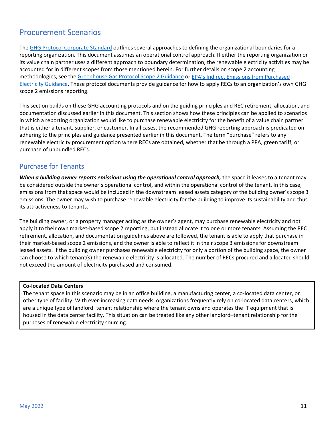# <span id="page-11-0"></span>Procurement Scenarios

The [GHG Protocol Corporate Standard](https://ghgprotocol.org/corporate-standard) outlines several approaches to defining the organizational boundaries for a reporting organization. This document assumes an operational control approach. If either the reporting organization or its value chain partner uses a different approach to boundary determination, the renewable electricity activities may be accounted for in different scopes from those mentioned herein. For further details on scope 2 accounting methodologies, see the [Greenhouse Gas Protocol Scope 2 Guidance](https://ghgprotocol.org/scope_2_guidance) or [EPA's Indirect Emissions from](https://www.epa.gov/sites/default/files/2020-12/documents/electricityemissions.pdf) Purchased [Electricity Guidance.](https://www.epa.gov/sites/default/files/2020-12/documents/electricityemissions.pdf) These protocol documents provide guidance for how to apply RECs to an organization's own GHG scope 2 emissions reporting.

This section builds on these GHG accounting protocols and on the guiding principles and REC retirement, allocation, and documentation discussed earlier in this document. This section shows how these principles can be applied to scenarios in which a reporting organization would like to purchase renewable electricity for the benefit of a value chain partner that is either a tenant, supplier, or customer. In all cases, the recommended GHG reporting approach is predicated on adhering to the principles and guidance presented earlier in this document. The term "purchase" refers to any renewable electricity procurement option where RECs are obtained, whether that be through a PPA, green tariff, or purchase of unbundled RECs.

### <span id="page-11-1"></span>Purchase for Tenants

*When a building owner reports emissions using the operational control approach, the space it leases to a tenant may* be considered outside the owner's operational control, and within the operational control of the tenant. In this case, emissions from that space would be included in the downstream leased assets category of the building owner's scope 3 emissions. The owner may wish to purchase renewable electricity for the building to improve its sustainability and thus its attractiveness to tenants.

The building owner, or a property manager acting as the owner's agent, may purchase renewable electricity and not apply it to their own market-based scope 2 reporting, but instead allocate it to one or more tenants. Assuming the REC retirement, allocation, and documentation guidelines above are followed, the tenant is able to apply that purchase in their market-based scope 2 emissions, and the owner is able to reflect it in their scope 3 emissions for downstream leased assets. If the building owner purchases renewable electricity for only a portion of the building space, the owner can choose to which tenant(s) the renewable electricity is allocated. The number of RECs procured and allocated should not exceed the amount of electricity purchased and consumed.

#### **Co-located Data Centers**

The tenant space in this scenario may be in an office building, a manufacturing center, a co-located data center, or other type of facility. With ever-increasing data needs, organizations frequently rely on co-located data centers, which are a unique type of landlord–tenant relationship where the tenant owns and operates the IT equipment that is housed in the data center facility. This situation can be treated like any other landlord–tenant relationship for the purposes of renewable electricity sourcing.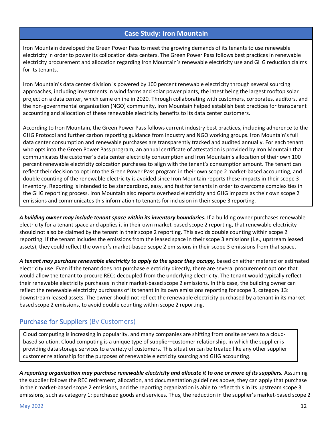#### **Case Study: Iron Mountain**

Iron Mountain developed the Green Power Pass to meet the growing demands of its tenants to use renewable electricity in order to power its collocation data centers. The Green Power Pass follows best practices in renewable electricity procurement and allocation regarding Iron Mountain's renewable electricity use and GHG reduction claims for its tenants.

Iron Mountain's data center division is powered by 100 percent renewable electricity through several sourcing approaches, including investments in wind farms and solar power plants, the latest being the largest rooftop solar project on a data center, which came online in 2020. Through collaborating with customers, corporates, auditors, and the non-governmental organization (NGO) community, Iron Mountain helped establish best practices for transparent accounting and allocation of these renewable electricity benefits to its data center customers.

According to Iron Mountain, the Green Power Pass follows current industry best practices, including adherence to the GHG Protocol and further carbon reporting guidance from industry and NGO working groups. Iron Mountain's full data center consumption and renewable purchases are transparently tracked and audited annually. For each tenant who opts into the Green Power Pass program, an annual certificate of attestation is provided by Iron Mountain that communicates the customer's data center electricity consumption and Iron Mountain's allocation of their own 100 percent renewable electricity colocation purchases to align with the tenant's consumption amount. The tenant can reflect their decision to opt into the Green Power Pass program in their own scope 2 market-based accounting, and double counting of the renewable electricity is avoided since Iron Mountain reports these impacts in their scope 3 inventory. Reporting is intended to be standardized, easy, and fast for tenants in order to overcome complexities in the GHG reporting process. Iron Mountain also reports overhead electricity and GHG impacts as their own scope 2 emissions and communicates this information to tenants for inclusion in their scope 3 reporting.

*A building owner may include tenant space within its inventory boundaries.* If a building owner purchases renewable electricity for a tenant space and applies it in their own market-based scope 2 reporting, that renewable electricity should not also be claimed by the tenant in their scope 2 reporting. This avoids double counting within scope 2 reporting. If the tenant includes the emissions from the leased space in their scope 3 emissions (i.e., upstream leased assets), they could reflect the owner's market-based scope 2 emissions in their scope 3 emissions from that space.

*A tenant may purchase renewable electricity to apply to the space they occupy,* based on either metered or estimated electricity use. Even if the tenant does not purchase electricity directly, there are several procurement options that would allow the tenant to procure RECs decoupled from the underlying electricity. The tenant would typically reflect their renewable electricity purchases in their market-based scope 2 emissions. In this case, the building owner can reflect the renewable electricity purchases of its tenant in its own emissions reporting for scope 3, category 13: downstream leased assets. The owner should not reflect the renewable electricity purchased by a tenant in its marketbased scope 2 emissions, to avoid double counting within scope 2 reporting.

# <span id="page-12-0"></span>Purchase for Suppliers (By Customers)

Cloud computing is increasing in popularity, and many companies are shifting from onsite servers to a cloudbased solution. Cloud computing is a unique type of supplier–customer relationship, in which the supplier is providing data storage services to a variety of customers. This situation can be treated like any other supplier– customer relationship for the purposes of renewable electricity sourcing and GHG accounting.

*A reporting organization may purchase renewable electricity and allocate it to one or more of its suppliers.* Assuming the supplier follows the REC retirement, allocation, and documentation guidelines above, they can apply that purchase in their market-based scope 2 emissions, and the reporting organization is able to reflect this in its upstream scope 3 emissions, such as category 1: purchased goods and services. Thus, the reduction in the supplier's market-based scope 2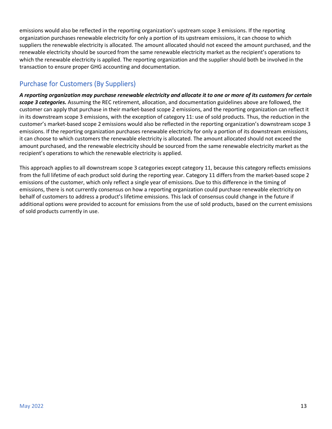emissions would also be reflected in the reporting organization's upstream scope 3 emissions. If the reporting organization purchases renewable electricity for only a portion of its upstream emissions, it can choose to which suppliers the renewable electricity is allocated. The amount allocated should not exceed the amount purchased, and the renewable electricity should be sourced from the same renewable electricity market as the recipient's operations to which the renewable electricity is applied. The reporting organization and the supplier should both be involved in the transaction to ensure proper GHG accounting and documentation.

# <span id="page-13-0"></span>Purchase for Customers (By Suppliers)

*A reporting organization may purchase renewable electricity and allocate it to one or more of its customers for certain scope 3 categories.* Assuming the REC retirement, allocation, and documentation guidelines above are followed, the customer can apply that purchase in their market-based scope 2 emissions, and the reporting organization can reflect it in its downstream scope 3 emissions, with the exception of category 11: use of sold products. Thus, the reduction in the customer's market-based scope 2 emissions would also be reflected in the reporting organization's downstream scope 3 emissions. If the reporting organization purchases renewable electricity for only a portion of its downstream emissions, it can choose to which customers the renewable electricity is allocated. The amount allocated should not exceed the amount purchased, and the renewable electricity should be sourced from the same renewable electricity market as the recipient's operations to which the renewable electricity is applied.

This approach applies to all downstream scope 3 categories except category 11, because this category reflects emissions from the full lifetime of each product sold during the reporting year. Category 11 differs from the market-based scope 2 emissions of the customer, which only reflect a single year of emissions. Due to this difference in the timing of emissions, there is not currently consensus on how a reporting organization could purchase renewable electricity on behalf of customers to address a product's lifetime emissions. This lack of consensus could change in the future if additional options were provided to account for emissions from the use of sold products, based on the current emissions of sold products currently in use.